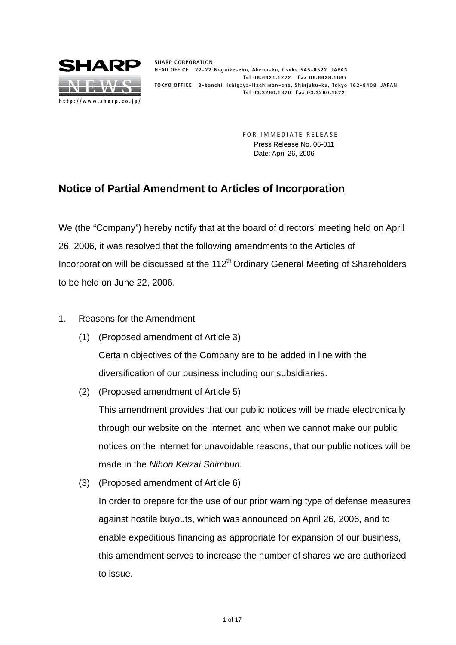

**SHARP CORPORATION HEAD OFFICE 22-22 Nagaike-cho, Abeno-ku, Osaka 545-8522 JAPAN Tel 06.6621.1272 Fax 06.6628.1667 TOKYO OFFICE 8-banchi, Ichigaya-Hachiman-cho, Shinjuku-ku, Tokyo 162-8408 JAPAN Tel 03.3260.1870 Fax 03.3260.1822**

> **FOR IMMEDIATE RELEASE** Press Release No. 06-011 Date: April 26, 2006

## **Notice of Partial Amendment to Articles of Incorporation**

We (the "Company") hereby notify that at the board of directors' meeting held on April 26, 2006, it was resolved that the following amendments to the Articles of Incorporation will be discussed at the  $112<sup>th</sup>$  Ordinary General Meeting of Shareholders to be held on June 22, 2006.

- 1. Reasons for the Amendment
	- (1) (Proposed amendment of Article 3) Certain objectives of the Company are to be added in line with the diversification of our business including our subsidiaries.
	- (2) (Proposed amendment of Article 5)

This amendment provides that our public notices will be made electronically through our website on the internet, and when we cannot make our public notices on the internet for unavoidable reasons, that our public notices will be made in the *Nihon Keizai Shimbun.*

(3) (Proposed amendment of Article 6)

In order to prepare for the use of our prior warning type of defense measures against hostile buyouts, which was announced on April 26, 2006, and to enable expeditious financing as appropriate for expansion of our business, this amendment serves to increase the number of shares we are authorized to issue.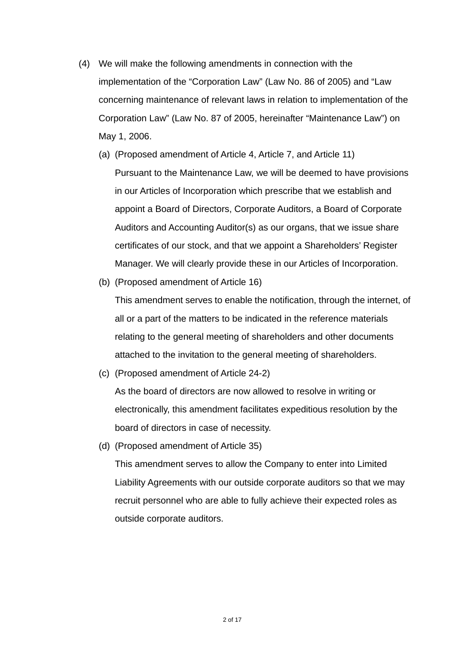- (4) We will make the following amendments in connection with the implementation of the "Corporation Law" (Law No. 86 of 2005) and "Law concerning maintenance of relevant laws in relation to implementation of the Corporation Law" (Law No. 87 of 2005, hereinafter "Maintenance Law") on May 1, 2006.
	- (a) (Proposed amendment of Article 4, Article 7, and Article 11) Pursuant to the Maintenance Law, we will be deemed to have provisions in our Articles of Incorporation which prescribe that we establish and appoint a Board of Directors, Corporate Auditors, a Board of Corporate Auditors and Accounting Auditor(s) as our organs, that we issue share certificates of our stock, and that we appoint a Shareholders' Register Manager. We will clearly provide these in our Articles of Incorporation.
	- (b) (Proposed amendment of Article 16)

This amendment serves to enable the notification, through the internet, of all or a part of the matters to be indicated in the reference materials relating to the general meeting of shareholders and other documents attached to the invitation to the general meeting of shareholders.

(c) (Proposed amendment of Article 24-2)

As the board of directors are now allowed to resolve in writing or electronically, this amendment facilitates expeditious resolution by the board of directors in case of necessity.

(d) (Proposed amendment of Article 35)

This amendment serves to allow the Company to enter into Limited Liability Agreements with our outside corporate auditors so that we may recruit personnel who are able to fully achieve their expected roles as outside corporate auditors.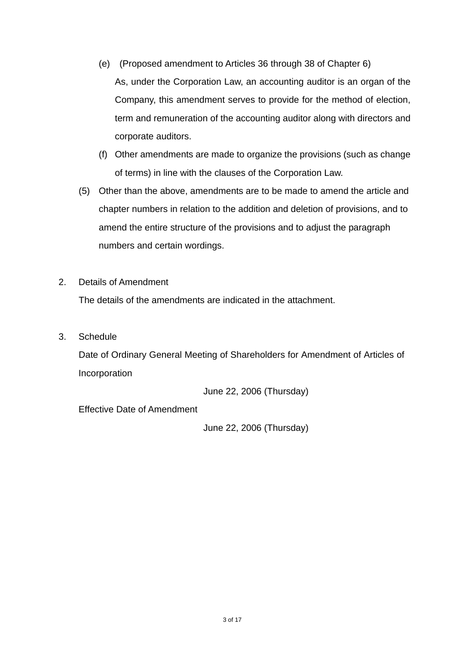- (e) (Proposed amendment to Articles 36 through 38 of Chapter 6) As, under the Corporation Law, an accounting auditor is an organ of the Company, this amendment serves to provide for the method of election, term and remuneration of the accounting auditor along with directors and corporate auditors.
- (f) Other amendments are made to organize the provisions (such as change of terms) in line with the clauses of the Corporation Law.
- (5) Other than the above, amendments are to be made to amend the article and chapter numbers in relation to the addition and deletion of provisions, and to amend the entire structure of the provisions and to adjust the paragraph numbers and certain wordings.
- 2. Details of Amendment

The details of the amendments are indicated in the attachment.

3. Schedule

Date of Ordinary General Meeting of Shareholders for Amendment of Articles of Incorporation

June 22, 2006 (Thursday)

Effective Date of Amendment

June 22, 2006 (Thursday)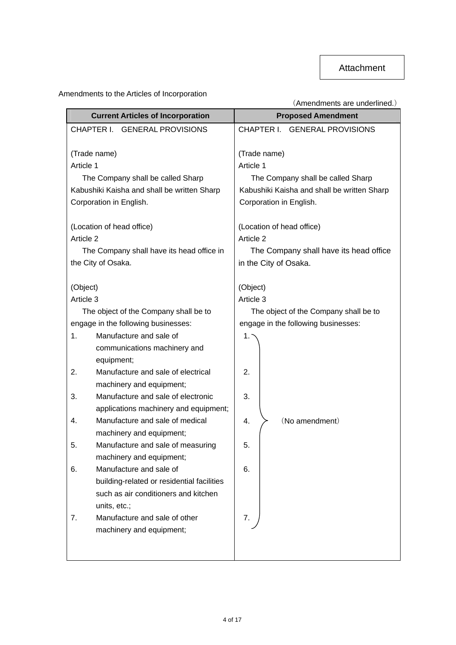## Amendments to the Articles of Incorporation

|                                          |                                                                | (Amendments are underlined.)                |
|------------------------------------------|----------------------------------------------------------------|---------------------------------------------|
| <b>Current Articles of Incorporation</b> |                                                                | <b>Proposed Amendment</b>                   |
|                                          | CHAPTER I. GENERAL PROVISIONS                                  | CHAPTER I. GENERAL PROVISIONS               |
|                                          |                                                                |                                             |
|                                          | (Trade name)                                                   | (Trade name)                                |
| Article 1                                |                                                                | Article 1                                   |
|                                          | The Company shall be called Sharp                              | The Company shall be called Sharp           |
|                                          | Kabushiki Kaisha and shall be written Sharp                    | Kabushiki Kaisha and shall be written Sharp |
|                                          | Corporation in English.                                        | Corporation in English.                     |
|                                          | (Location of head office)                                      | (Location of head office)                   |
| Article 2                                |                                                                | Article 2                                   |
|                                          | The Company shall have its head office in                      | The Company shall have its head office      |
|                                          | the City of Osaka.                                             | in the City of Osaka.                       |
|                                          |                                                                |                                             |
| (Object)                                 |                                                                | (Object)                                    |
| Article 3                                |                                                                | Article 3                                   |
|                                          | The object of the Company shall be to                          | The object of the Company shall be to       |
|                                          | engage in the following businesses:                            | engage in the following businesses:         |
| 1.                                       | Manufacture and sale of                                        | 1.1                                         |
|                                          | communications machinery and                                   |                                             |
|                                          | equipment;<br>Manufacture and sale of electrical               | 2.                                          |
| 2.                                       |                                                                |                                             |
| 3.                                       | machinery and equipment;<br>Manufacture and sale of electronic | 3.                                          |
|                                          | applications machinery and equipment;                          |                                             |
| 4.                                       | Manufacture and sale of medical                                | (No amendment)<br>4.                        |
|                                          |                                                                |                                             |
| 5.                                       | machinery and equipment;<br>Manufacture and sale of measuring  | 5.                                          |
|                                          | machinery and equipment;                                       |                                             |
| 6.                                       | Manufacture and sale of                                        | 6.                                          |
|                                          | building-related or residential facilities                     |                                             |
|                                          | such as air conditioners and kitchen                           |                                             |
|                                          | units, etc.;                                                   |                                             |
| 7.                                       | Manufacture and sale of other                                  | 7.                                          |
|                                          | machinery and equipment;                                       |                                             |
|                                          |                                                                |                                             |
|                                          |                                                                |                                             |
|                                          |                                                                |                                             |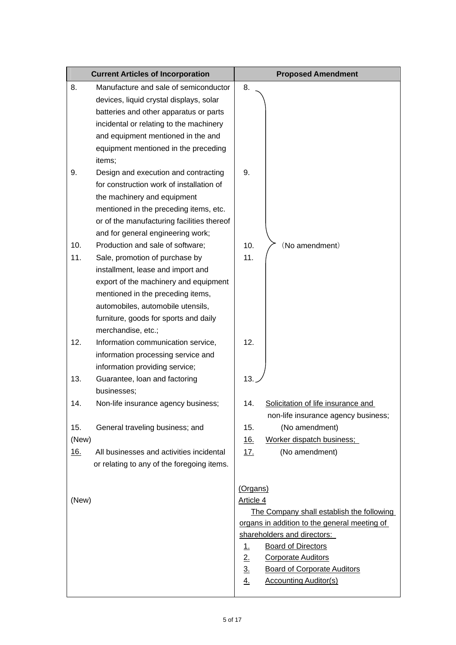| <b>Current Articles of Incorporation</b> |                                                                                                                                                                                                                                                                                           |                                                                                                                                                                                                     | <b>Proposed Amendment</b>                                                                                                       |
|------------------------------------------|-------------------------------------------------------------------------------------------------------------------------------------------------------------------------------------------------------------------------------------------------------------------------------------------|-----------------------------------------------------------------------------------------------------------------------------------------------------------------------------------------------------|---------------------------------------------------------------------------------------------------------------------------------|
| 8.                                       | Manufacture and sale of semiconductor<br>devices, liquid crystal displays, solar<br>batteries and other apparatus or parts<br>incidental or relating to the machinery<br>and equipment mentioned in the and<br>equipment mentioned in the preceding                                       | 8.                                                                                                                                                                                                  |                                                                                                                                 |
| 9.                                       | items;<br>Design and execution and contracting<br>for construction work of installation of<br>the machinery and equipment<br>mentioned in the preceding items, etc.<br>or of the manufacturing facilities thereof<br>and for general engineering work;                                    | 9.                                                                                                                                                                                                  |                                                                                                                                 |
| 10.<br>11.                               | Production and sale of software;<br>Sale, promotion of purchase by<br>installment, lease and import and<br>export of the machinery and equipment<br>mentioned in the preceding items,<br>automobiles, automobile utensils,<br>furniture, goods for sports and daily<br>merchandise, etc.; | 10.<br>11.                                                                                                                                                                                          | (No amendment)                                                                                                                  |
| 12.                                      | Information communication service,<br>information processing service and<br>information providing service;                                                                                                                                                                                | 12.<br>13.                                                                                                                                                                                          |                                                                                                                                 |
| 13.                                      | Guarantee, loan and factoring<br>businesses;                                                                                                                                                                                                                                              |                                                                                                                                                                                                     |                                                                                                                                 |
| 14.                                      | Non-life insurance agency business;                                                                                                                                                                                                                                                       | 14.                                                                                                                                                                                                 | Solicitation of life insurance and<br>non-life insurance agency business;                                                       |
| 15.<br>(New)                             | General traveling business; and                                                                                                                                                                                                                                                           | 15.<br><u>16.</u>                                                                                                                                                                                   | (No amendment)<br>Worker dispatch business;                                                                                     |
| <u>16.</u>                               | All businesses and activities incidental<br>or relating to any of the foregoing items.                                                                                                                                                                                                    | <u>17.</u>                                                                                                                                                                                          | (No amendment)                                                                                                                  |
| (New)                                    |                                                                                                                                                                                                                                                                                           | (Organs)<br>Article 4<br>shareholders and directors:<br><b>Board of Directors</b><br><u>1.</u><br>2.<br><b>Corporate Auditors</b><br>$\underline{3}$ .<br><b>Accounting Auditor(s)</b><br><u>4.</u> | The Company shall establish the following<br>organs in addition to the general meeting of<br><b>Board of Corporate Auditors</b> |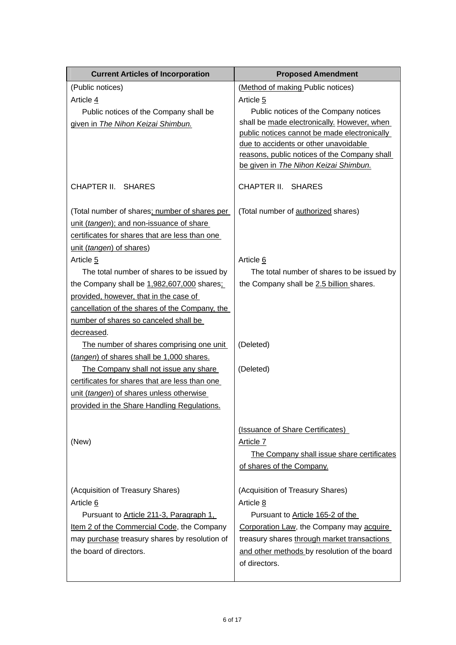| <b>Current Articles of Incorporation</b>       | <b>Proposed Amendment</b>                                                             |
|------------------------------------------------|---------------------------------------------------------------------------------------|
| (Public notices)                               | (Method of making Public notices)                                                     |
| Article 4                                      | Article <sub>5</sub>                                                                  |
| Public notices of the Company shall be         | Public notices of the Company notices                                                 |
| given in The Nihon Keizai Shimbun.             | shall be made electronically. However, when                                           |
|                                                | public notices cannot be made electronically                                          |
|                                                | due to accidents or other unavoidable                                                 |
|                                                | reasons, public notices of the Company shall<br>be given in The Nihon Keizai Shimbun. |
|                                                |                                                                                       |
| CHAPTER II. SHARES                             | CHAPTER II.<br><b>SHARES</b>                                                          |
|                                                |                                                                                       |
| (Total number of shares; number of shares per  | (Total number of authorized shares)                                                   |
| unit (tangen); and non-issuance of share       |                                                                                       |
| certificates for shares that are less than one |                                                                                       |
| unit (tangen) of shares)                       |                                                                                       |
| Article 5                                      | Article 6                                                                             |
| The total number of shares to be issued by     | The total number of shares to be issued by                                            |
| the Company shall be 1,982,607,000 shares;     | the Company shall be 2.5 billion shares.                                              |
| provided, however, that in the case of         |                                                                                       |
| cancellation of the shares of the Company, the |                                                                                       |
| number of shares so canceled shall be          |                                                                                       |
| decreased.                                     |                                                                                       |
| The number of shares comprising one unit       | (Deleted)                                                                             |
| (tangen) of shares shall be 1,000 shares.      |                                                                                       |
| The Company shall not issue any share          | (Deleted)                                                                             |
| certificates for shares that are less than one |                                                                                       |
| unit (tangen) of shares unless otherwise       |                                                                                       |
| provided in the Share Handling Regulations.    |                                                                                       |
|                                                | (Issuance of Share Certificates)                                                      |
| (New)                                          | Article 7                                                                             |
|                                                | The Company shall issue share certificates                                            |
|                                                | of shares of the Company.                                                             |
|                                                |                                                                                       |
| (Acquisition of Treasury Shares)               | (Acquisition of Treasury Shares)                                                      |
| Article 6                                      | Article 8                                                                             |
| Pursuant to Article 211-3, Paragraph 1,        | Pursuant to Article 165-2 of the                                                      |
| Item 2 of the Commercial Code, the Company     | Corporation Law, the Company may acquire                                              |
| may purchase treasury shares by resolution of  | treasury shares through market transactions                                           |
| the board of directors.                        | and other methods by resolution of the board                                          |
|                                                | of directors.                                                                         |
|                                                |                                                                                       |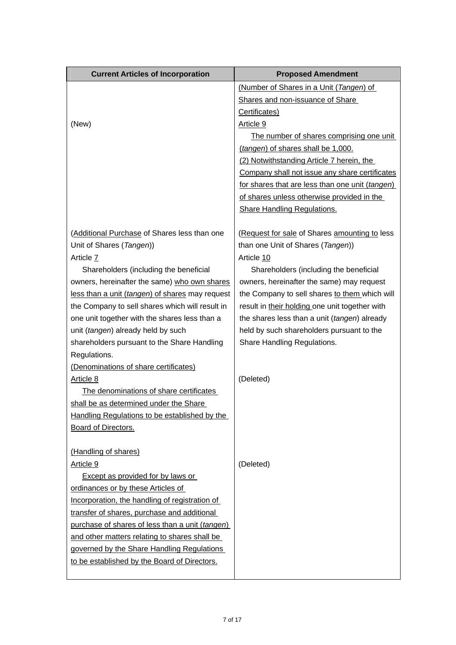| <b>Current Articles of Incorporation</b>        | <b>Proposed Amendment</b>                       |
|-------------------------------------------------|-------------------------------------------------|
|                                                 | (Number of Shares in a Unit (Tangen) of         |
|                                                 | Shares and non-issuance of Share                |
|                                                 | Certificates)                                   |
| (New)                                           | Article 9                                       |
|                                                 | The number of shares comprising one unit        |
|                                                 | (tangen) of shares shall be 1,000.              |
|                                                 | (2) Notwithstanding Article 7 herein, the       |
|                                                 | Company shall not issue any share certificates  |
|                                                 | for shares that are less than one unit (tangen) |
|                                                 | of shares unless otherwise provided in the      |
|                                                 | <b>Share Handling Regulations.</b>              |
| (Additional Purchase of Shares less than one    | (Request for sale of Shares amounting to less   |
| Unit of Shares (Tangen))                        | than one Unit of Shares (Tangen))               |
| Article 7                                       | Article 10                                      |
| Shareholders (including the beneficial          | Shareholders (including the beneficial          |
| owners, hereinafter the same) who own shares    | owners, hereinafter the same) may request       |
| less than a unit (tangen) of shares may request | the Company to sell shares to them which will   |
| the Company to sell shares which will result in | result in their holding one unit together with  |
| one unit together with the shares less than a   | the shares less than a unit (tangen) already    |
| unit (tangen) already held by such              | held by such shareholders pursuant to the       |
| shareholders pursuant to the Share Handling     | Share Handling Regulations.                     |
| Regulations.                                    |                                                 |
| (Denominations of share certificates)           |                                                 |
| Article 8                                       | (Deleted)                                       |
| The denominations of share certificates         |                                                 |
| shall be as determined under the Share          |                                                 |
| Handling Regulations to be established by the   |                                                 |
| Board of Directors.                             |                                                 |
| (Handling of shares)                            |                                                 |
| Article 9                                       | (Deleted)                                       |
| <b>Except as provided for by laws or</b>        |                                                 |
| ordinances or by these Articles of              |                                                 |
| Incorporation, the handling of registration of  |                                                 |
| transfer of shares, purchase and additional     |                                                 |
| purchase of shares of less than a unit (tangen) |                                                 |
| and other matters relating to shares shall be   |                                                 |
| governed by the Share Handling Regulations      |                                                 |
| to be established by the Board of Directors.    |                                                 |
|                                                 |                                                 |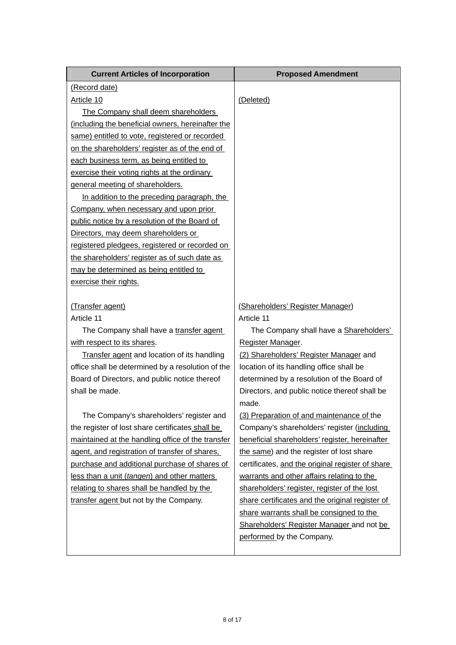| <b>Current Articles of Incorporation</b>          | <b>Proposed Amendment</b>                        |
|---------------------------------------------------|--------------------------------------------------|
| (Record date)                                     |                                                  |
| Article 10                                        | (Deleted)                                        |
| The Company shall deem shareholders               |                                                  |
| (including the beneficial owners, hereinafter the |                                                  |
| same) entitled to vote, registered or recorded    |                                                  |
| on the shareholders' register as of the end of    |                                                  |
| each business term, as being entitled to          |                                                  |
| exercise their voting rights at the ordinary      |                                                  |
| general meeting of shareholders.                  |                                                  |
| In addition to the preceding paragraph, the       |                                                  |
| Company, when necessary and upon prior            |                                                  |
| public notice by a resolution of the Board of     |                                                  |
| Directors, may deem shareholders or               |                                                  |
| registered pledgees, registered or recorded on    |                                                  |
| the shareholders' register as of such date as     |                                                  |
| may be determined as being entitled to            |                                                  |
| exercise their rights.                            |                                                  |
|                                                   |                                                  |
| (Transfer agent)                                  | (Shareholders' Register Manager)                 |
| Article 11                                        | Article 11                                       |
| The Company shall have a transfer agent           | The Company shall have a Shareholders'           |
| with respect to its shares.                       | Register Manager.                                |
| Transfer agent and location of its handling       | (2) Shareholders' Register Manager and           |
| office shall be determined by a resolution of the | location of its handling office shall be         |
| Board of Directors, and public notice thereof     | determined by a resolution of the Board of       |
| shall be made.                                    | Directors, and public notice thereof shall be    |
|                                                   | made.                                            |
| The Company's shareholders' register and          | (3) Preparation of and maintenance of the        |
| the register of lost share certificates shall be  | Company's shareholders' register (including      |
| maintained at the handling office of the transfer | beneficial shareholders' register, hereinafter   |
| agent, and registration of transfer of shares,    | the same) and the register of lost share         |
| purchase and additional purchase of shares of     | certificates, and the original register of share |
| less than a unit (tangen) and other matters       | warrants and other affairs relating to the       |
| relating to shares shall be handled by the        | shareholders' register, register of the lost     |
| transfer agent but not by the Company.            | share certificates and the original register of  |
|                                                   | share warrants shall be consigned to the         |
|                                                   | Shareholders' Register Manager and not be        |
|                                                   | performed by the Company.                        |
|                                                   |                                                  |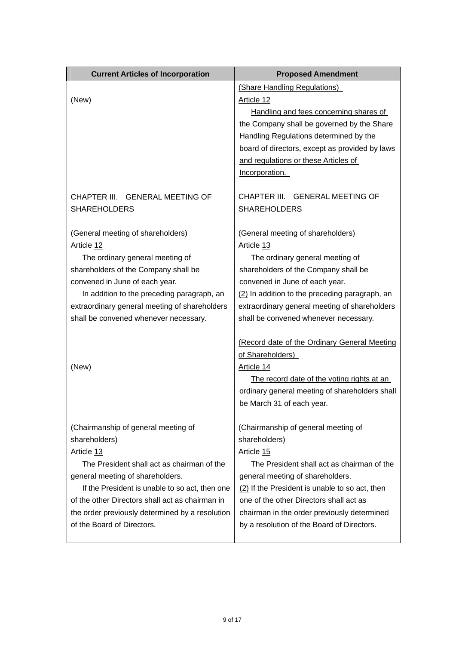| (New)                                                                         | (Share Handling Regulations)                                                              |
|-------------------------------------------------------------------------------|-------------------------------------------------------------------------------------------|
|                                                                               | Article 12                                                                                |
|                                                                               | Handling and fees concerning shares of                                                    |
|                                                                               | the Company shall be governed by the Share                                                |
|                                                                               | Handling Regulations determined by the                                                    |
|                                                                               | board of directors, except as provided by laws                                            |
|                                                                               | and regulations or these Articles of                                                      |
|                                                                               | Incorporation.                                                                            |
| CHAPTER III. GENERAL MEETING OF                                               | CHAPTER III. GENERAL MEETING OF                                                           |
| <b>SHAREHOLDERS</b>                                                           | <b>SHAREHOLDERS</b>                                                                       |
|                                                                               |                                                                                           |
| (General meeting of shareholders)                                             | (General meeting of shareholders)                                                         |
| Article 12                                                                    | Article 13                                                                                |
| The ordinary general meeting of                                               | The ordinary general meeting of                                                           |
| shareholders of the Company shall be                                          | shareholders of the Company shall be                                                      |
| convened in June of each year.                                                | convened in June of each year.                                                            |
| In addition to the preceding paragraph, an                                    | (2) In addition to the preceding paragraph, an                                            |
| extraordinary general meeting of shareholders                                 | extraordinary general meeting of shareholders                                             |
| shall be convened whenever necessary.                                         | shall be convened whenever necessary.                                                     |
|                                                                               | (Record date of the Ordinary General Meeting                                              |
|                                                                               | of Shareholders)                                                                          |
| (New)                                                                         | Article 14                                                                                |
|                                                                               | The record date of the voting rights at an                                                |
|                                                                               | ordinary general meeting of shareholders shall                                            |
|                                                                               | be March 31 of each year.                                                                 |
|                                                                               |                                                                                           |
| (Chairmanship of general meeting of                                           | (Chairmanship of general meeting of                                                       |
| shareholders)                                                                 | shareholders)                                                                             |
| Article 13                                                                    | Article 15                                                                                |
| The President shall act as chairman of the                                    | The President shall act as chairman of the                                                |
| general meeting of shareholders.                                              | general meeting of shareholders.                                                          |
| If the President is unable to so act, then one                                | (2) If the President is unable to so act, then                                            |
| of the other Directors shall act as chairman in                               | one of the other Directors shall act as                                                   |
| the order previously determined by a resolution<br>of the Board of Directors. | chairman in the order previously determined<br>by a resolution of the Board of Directors. |
|                                                                               |                                                                                           |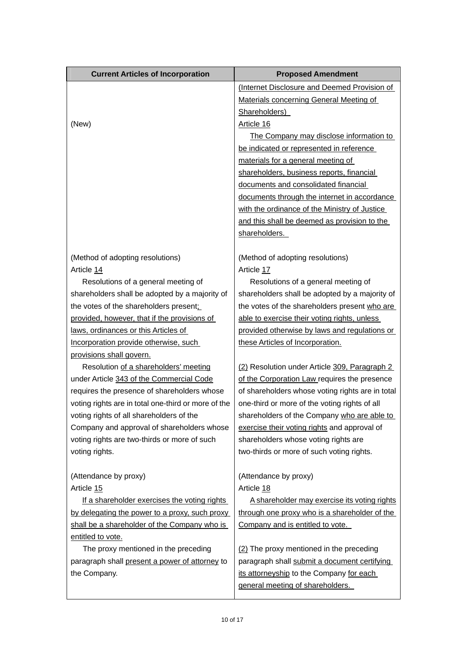| <b>Current Articles of Incorporation</b>            | <b>Proposed Amendment</b>                        |
|-----------------------------------------------------|--------------------------------------------------|
|                                                     | (Internet Disclosure and Deemed Provision of     |
|                                                     | Materials concerning General Meeting of          |
|                                                     | Shareholders)                                    |
| (New)                                               | Article 16                                       |
|                                                     | The Company may disclose information to          |
|                                                     | be indicated or represented in reference         |
|                                                     | materials for a general meeting of               |
|                                                     | shareholders, business reports, financial        |
|                                                     | documents and consolidated financial             |
|                                                     | documents through the internet in accordance     |
|                                                     | with the ordinance of the Ministry of Justice    |
|                                                     | and this shall be deemed as provision to the     |
|                                                     | shareholders.                                    |
|                                                     |                                                  |
| (Method of adopting resolutions)                    | (Method of adopting resolutions)                 |
| Article 14                                          | Article 17                                       |
| Resolutions of a general meeting of                 | Resolutions of a general meeting of              |
| shareholders shall be adopted by a majority of      | shareholders shall be adopted by a majority of   |
| the votes of the shareholders present;              | the votes of the shareholders present who are    |
| provided, however, that if the provisions of        | able to exercise their voting rights, unless     |
| laws, ordinances or this Articles of                | provided otherwise by laws and regulations or    |
| Incorporation provide otherwise, such               | these Articles of Incorporation.                 |
| provisions shall govern.                            |                                                  |
| Resolution of a shareholders' meeting               | (2) Resolution under Article 309, Paragraph 2    |
| under Article 343 of the Commercial Code            | of the Corporation Law requires the presence     |
| requires the presence of shareholders whose         | of shareholders whose voting rights are in total |
| voting rights are in total one-third or more of the | one-third or more of the voting rights of all    |
| voting rights of all shareholders of the            | shareholders of the Company who are able to      |
| Company and approval of shareholders whose          | exercise their voting rights and approval of     |
| voting rights are two-thirds or more of such        | shareholders whose voting rights are             |
| voting rights.                                      | two-thirds or more of such voting rights.        |
|                                                     |                                                  |
| (Attendance by proxy)                               | (Attendance by proxy)                            |
| Article 15                                          | Article 18                                       |
| If a shareholder exercises the voting rights        | A shareholder may exercise its voting rights     |
| by delegating the power to a proxy, such proxy      | through one proxy who is a shareholder of the    |
| shall be a shareholder of the Company who is        | Company and is entitled to vote.                 |
| entitled to vote.                                   |                                                  |
| The proxy mentioned in the preceding                | (2) The proxy mentioned in the preceding         |
| paragraph shall present a power of attorney to      | paragraph shall submit a document certifying     |
| the Company.                                        | its attorneyship to the Company for each         |
|                                                     | general meeting of shareholders.                 |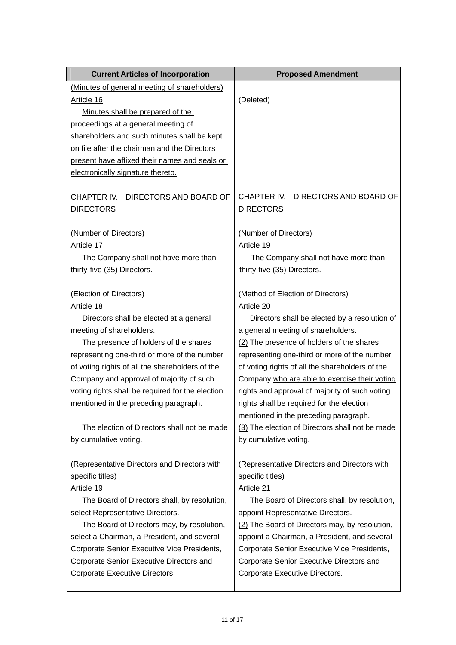| <b>Current Articles of Incorporation</b>         | <b>Proposed Amendment</b>                       |
|--------------------------------------------------|-------------------------------------------------|
| (Minutes of general meeting of shareholders)     |                                                 |
| Article 16                                       | (Deleted)                                       |
| Minutes shall be prepared of the                 |                                                 |
| proceedings at a general meeting of              |                                                 |
| shareholders and such minutes shall be kept      |                                                 |
| on file after the chairman and the Directors     |                                                 |
| present have affixed their names and seals or    |                                                 |
| electronically signature thereto.                |                                                 |
| CHAPTER IV.<br>DIRECTORS AND BOARD OF            | CHAPTER IV. DIRECTORS AND BOARD OF              |
| <b>DIRECTORS</b>                                 | <b>DIRECTORS</b>                                |
| (Number of Directors)                            | (Number of Directors)                           |
| Article 17                                       | Article 19                                      |
| The Company shall not have more than             | The Company shall not have more than            |
| thirty-five (35) Directors.                      | thirty-five (35) Directors.                     |
| (Election of Directors)                          | (Method of Election of Directors)               |
| Article 18                                       | Article 20                                      |
| Directors shall be elected at a general          | Directors shall be elected by a resolution of   |
| meeting of shareholders.                         | a general meeting of shareholders.              |
| The presence of holders of the shares            | (2) The presence of holders of the shares       |
| representing one-third or more of the number     | representing one-third or more of the number    |
| of voting rights of all the shareholders of the  | of voting rights of all the shareholders of the |
| Company and approval of majority of such         | Company who are able to exercise their voting   |
| voting rights shall be required for the election | rights and approval of majority of such voting  |
| mentioned in the preceding paragraph.            | rights shall be required for the election       |
|                                                  | mentioned in the preceding paragraph.           |
| The election of Directors shall not be made      | (3) The election of Directors shall not be made |
| by cumulative voting.                            | by cumulative voting.                           |
| (Representative Directors and Directors with     | (Representative Directors and Directors with    |
| specific titles)                                 | specific titles)                                |
| Article 19                                       | Article 21                                      |
| The Board of Directors shall, by resolution,     | The Board of Directors shall, by resolution,    |
| select Representative Directors.                 | appoint Representative Directors.               |
| The Board of Directors may, by resolution,       | (2) The Board of Directors may, by resolution,  |
| select a Chairman, a President, and several      | appoint a Chairman, a President, and several    |
| Corporate Senior Executive Vice Presidents,      | Corporate Senior Executive Vice Presidents,     |
| Corporate Senior Executive Directors and         | Corporate Senior Executive Directors and        |
| Corporate Executive Directors.                   | Corporate Executive Directors.                  |
|                                                  |                                                 |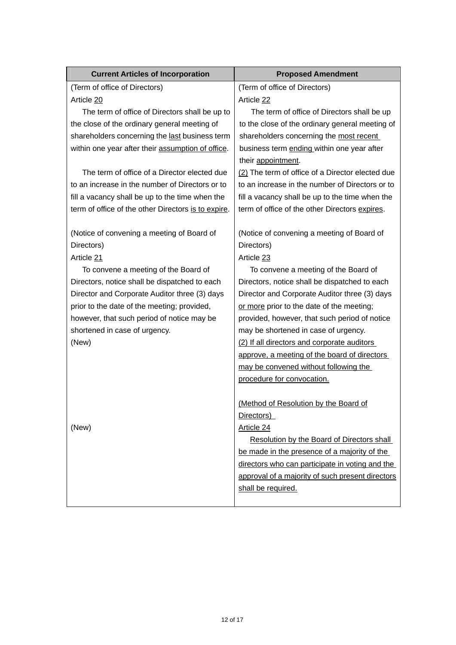| <b>Proposed Amendment</b>                           |
|-----------------------------------------------------|
| (Term of office of Directors)                       |
| Article 22                                          |
| The term of office of Directors shall be up         |
| to the close of the ordinary general meeting of     |
| shareholders concerning the most recent             |
| business term ending within one year after          |
| their appointment.                                  |
| (2) The term of office of a Director elected due    |
| to an increase in the number of Directors or to     |
| fill a vacancy shall be up to the time when the     |
| term of office of the other Directors expires.      |
| (Notice of convening a meeting of Board of          |
| Directors)                                          |
| Article 23                                          |
| To convene a meeting of the Board of                |
| Directors, notice shall be dispatched to each       |
| Director and Corporate Auditor three (3) days       |
| or more prior to the date of the meeting;           |
| provided, however, that such period of notice       |
| may be shortened in case of urgency.                |
| (2) If all directors and corporate auditors         |
| approve, a meeting of the board of directors        |
| may be convened without following the               |
| procedure for convocation.                          |
|                                                     |
| (Method of Resolution by the Board of<br>Directors) |
| Article 24                                          |
| Resolution by the Board of Directors shall          |
| be made in the presence of a majority of the        |
| directors who can participate in voting and the     |
| approval of a majority of such present directors    |
| shall be required.                                  |
|                                                     |
|                                                     |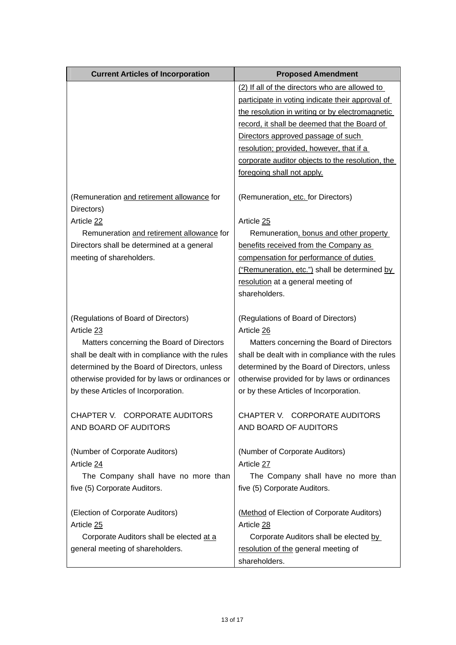| <b>Current Articles of Incorporation</b>                 | <b>Proposed Amendment</b>                        |
|----------------------------------------------------------|--------------------------------------------------|
|                                                          | (2) If all of the directors who are allowed to   |
|                                                          | participate in voting indicate their approval of |
|                                                          | the resolution in writing or by electromagnetic  |
|                                                          | record, it shall be deemed that the Board of     |
|                                                          | Directors approved passage of such               |
|                                                          | resolution; provided, however, that if a         |
|                                                          | corporate auditor objects to the resolution, the |
|                                                          | foregoing shall not apply.                       |
| (Remuneration and retirement allowance for<br>Directors) | (Remuneration, etc. for Directors)               |
| Article 22                                               | Article 25                                       |
| Remuneration and retirement allowance for                | Remuneration, bonus and other property           |
| Directors shall be determined at a general               | benefits received from the Company as            |
| meeting of shareholders.                                 | compensation for performance of duties           |
|                                                          | ("Remuneration, etc.") shall be determined by    |
|                                                          | resolution at a general meeting of               |
|                                                          | shareholders.                                    |
| (Regulations of Board of Directors)                      | (Regulations of Board of Directors)              |
| Article 23                                               | Article 26                                       |
| Matters concerning the Board of Directors                | Matters concerning the Board of Directors        |
| shall be dealt with in compliance with the rules         | shall be dealt with in compliance with the rules |
| determined by the Board of Directors, unless             | determined by the Board of Directors, unless     |
| otherwise provided for by laws or ordinances or          | otherwise provided for by laws or ordinances     |
| by these Articles of Incorporation.                      | or by these Articles of Incorporation.           |
| CHAPTER V. CORPORATE AUDITORS                            | CHAPTER V. CORPORATE AUDITORS                    |
| AND BOARD OF AUDITORS                                    | AND BOARD OF AUDITORS                            |
|                                                          |                                                  |
| (Number of Corporate Auditors)                           | (Number of Corporate Auditors)                   |
| Article 24                                               | Article 27                                       |
| The Company shall have no more than                      | The Company shall have no more than              |
| five (5) Corporate Auditors.                             | five (5) Corporate Auditors.                     |
| (Election of Corporate Auditors)                         | (Method of Election of Corporate Auditors)       |
| Article 25                                               | Article 28                                       |
| Corporate Auditors shall be elected at a                 | Corporate Auditors shall be elected by           |
| general meeting of shareholders.                         | resolution of the general meeting of             |
|                                                          | shareholders.                                    |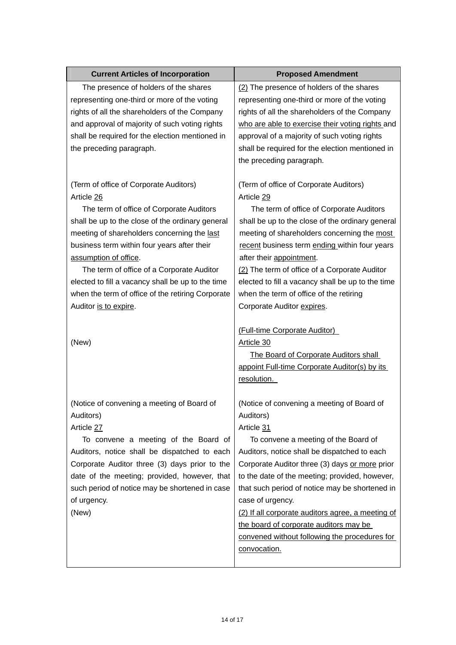| <b>Current Articles of Incorporation</b>                                                                                                                                                                                                                                                                                                                                                                                                                                                                                                                                                                                                                                                                                                        | <b>Proposed Amendment</b>                                                                                                                                                                                                                                                                                                                                                                                                                                                                                                                                                                                                                                                                                                                                                                                                                                                                |
|-------------------------------------------------------------------------------------------------------------------------------------------------------------------------------------------------------------------------------------------------------------------------------------------------------------------------------------------------------------------------------------------------------------------------------------------------------------------------------------------------------------------------------------------------------------------------------------------------------------------------------------------------------------------------------------------------------------------------------------------------|------------------------------------------------------------------------------------------------------------------------------------------------------------------------------------------------------------------------------------------------------------------------------------------------------------------------------------------------------------------------------------------------------------------------------------------------------------------------------------------------------------------------------------------------------------------------------------------------------------------------------------------------------------------------------------------------------------------------------------------------------------------------------------------------------------------------------------------------------------------------------------------|
| The presence of holders of the shares<br>representing one-third or more of the voting<br>rights of all the shareholders of the Company<br>and approval of majority of such voting rights<br>shall be required for the election mentioned in<br>the preceding paragraph.<br>(Term of office of Corporate Auditors)<br>Article 26<br>The term of office of Corporate Auditors<br>shall be up to the close of the ordinary general<br>meeting of shareholders concerning the last<br>business term within four years after their<br>assumption of office.<br>The term of office of a Corporate Auditor<br>elected to fill a vacancy shall be up to the time<br>when the term of office of the retiring Corporate<br>Auditor is to expire.<br>(New) | (2) The presence of holders of the shares<br>representing one-third or more of the voting<br>rights of all the shareholders of the Company<br>who are able to exercise their voting rights and<br>approval of a majority of such voting rights<br>shall be required for the election mentioned in<br>the preceding paragraph.<br>(Term of office of Corporate Auditors)<br>Article 29<br>The term of office of Corporate Auditors<br>shall be up to the close of the ordinary general<br>meeting of shareholders concerning the most<br>recent business term ending within four years<br>after their appointment.<br>(2) The term of office of a Corporate Auditor<br>elected to fill a vacancy shall be up to the time<br>when the term of office of the retiring<br>Corporate Auditor expires.<br>(Full-time Corporate Auditor)<br>Article 30<br>The Board of Corporate Auditors shall |
| (Notice of convening a meeting of Board of<br>Auditors)<br>Article 27<br>To convene a meeting of the Board of<br>Auditors, notice shall be dispatched to each<br>Corporate Auditor three (3) days prior to the<br>date of the meeting; provided, however, that<br>such period of notice may be shortened in case<br>of urgency.<br>(New)                                                                                                                                                                                                                                                                                                                                                                                                        | appoint Full-time Corporate Auditor(s) by its<br>resolution.<br>(Notice of convening a meeting of Board of<br>Auditors)<br>Article 31<br>To convene a meeting of the Board of<br>Auditors, notice shall be dispatched to each<br>Corporate Auditor three (3) days or more prior<br>to the date of the meeting; provided, however,<br>that such period of notice may be shortened in<br>case of urgency.<br>(2) If all corporate auditors agree, a meeting of<br>the board of corporate auditors may be<br>convened without following the procedures for<br>convocation.                                                                                                                                                                                                                                                                                                                  |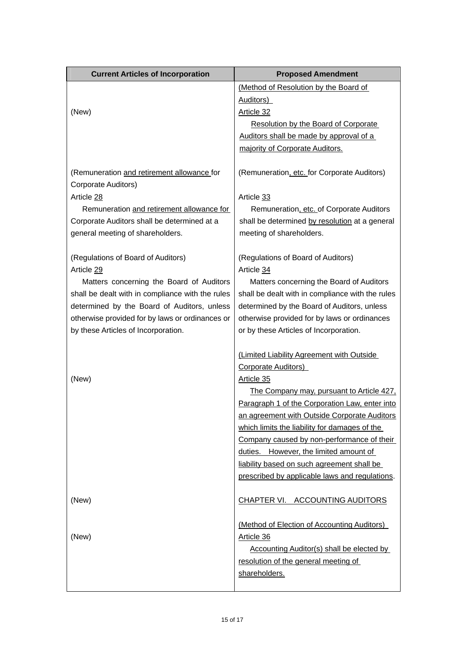| <b>Current Articles of Incorporation</b>         | <b>Proposed Amendment</b>                        |
|--------------------------------------------------|--------------------------------------------------|
|                                                  | (Method of Resolution by the Board of            |
|                                                  | Auditors)                                        |
| (New)                                            | Article 32                                       |
|                                                  | <b>Resolution by the Board of Corporate</b>      |
|                                                  | Auditors shall be made by approval of a          |
|                                                  | majority of Corporate Auditors.                  |
|                                                  |                                                  |
| (Remuneration and retirement allowance for       | (Remuneration, etc. for Corporate Auditors)      |
| Corporate Auditors)                              |                                                  |
| Article 28                                       | Article 33                                       |
| Remuneration and retirement allowance for        | Remuneration, etc. of Corporate Auditors         |
| Corporate Auditors shall be determined at a      | shall be determined by resolution at a general   |
| general meeting of shareholders.                 | meeting of shareholders.                         |
| (Regulations of Board of Auditors)               | (Regulations of Board of Auditors)               |
| Article 29                                       | Article 34                                       |
| Matters concerning the Board of Auditors         | Matters concerning the Board of Auditors         |
| shall be dealt with in compliance with the rules | shall be dealt with in compliance with the rules |
| determined by the Board of Auditors, unless      | determined by the Board of Auditors, unless      |
| otherwise provided for by laws or ordinances or  | otherwise provided for by laws or ordinances     |
| by these Articles of Incorporation.              | or by these Articles of Incorporation.           |
|                                                  |                                                  |
|                                                  | (Limited Liability Agreement with Outside        |
|                                                  | <b>Corporate Auditors</b> )                      |
| (New)                                            | Article 35                                       |
|                                                  | The Company may, pursuant to Article 427,        |
|                                                  | Paragraph 1 of the Corporation Law, enter into   |
|                                                  | an agreement with Outside Corporate Auditors     |
|                                                  | which limits the liability for damages of the    |
|                                                  | Company caused by non-performance of their       |
|                                                  | duties. However, the limited amount of           |
|                                                  | liability based on such agreement shall be       |
|                                                  | prescribed by applicable laws and regulations.   |
|                                                  |                                                  |
| (New)                                            | CHAPTER VI. ACCOUNTING AUDITORS                  |
|                                                  | (Method of Election of Accounting Auditors)      |
| (New)                                            | Article 36                                       |
|                                                  | Accounting Auditor(s) shall be elected by        |
|                                                  | resolution of the general meeting of             |
|                                                  | shareholders.                                    |
|                                                  |                                                  |

 $\mathsf{L}$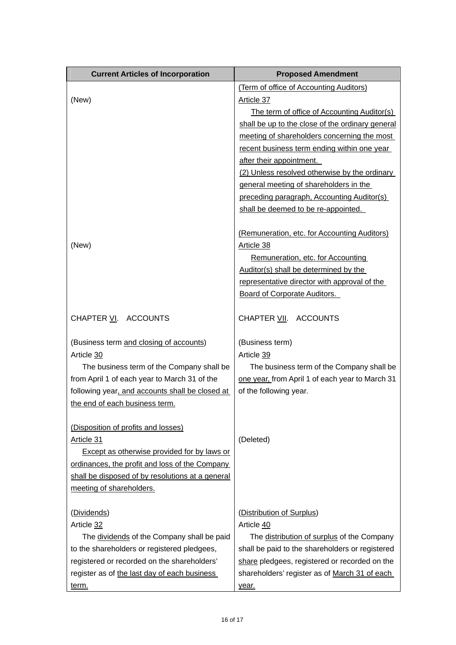| <b>Current Articles of Incorporation</b>           | <b>Proposed Amendment</b>                        |
|----------------------------------------------------|--------------------------------------------------|
|                                                    | (Term of office of Accounting Auditors)          |
| (New)                                              | Article 37                                       |
|                                                    | The term of office of Accounting Auditor(s)      |
|                                                    | shall be up to the close of the ordinary general |
|                                                    | meeting of shareholders concerning the most      |
|                                                    | recent business term ending within one year      |
|                                                    | after their appointment.                         |
|                                                    | (2) Unless resolved otherwise by the ordinary    |
|                                                    | general meeting of shareholders in the           |
|                                                    | preceding paragraph, Accounting Auditor(s)       |
|                                                    | shall be deemed to be re-appointed.              |
|                                                    | (Remuneration, etc. for Accounting Auditors)     |
| (New)                                              | Article 38                                       |
|                                                    | Remuneration, etc. for Accounting                |
|                                                    | Auditor(s) shall be determined by the            |
|                                                    | representative director with approval of the     |
|                                                    | <b>Board of Corporate Auditors.</b>              |
| CHAPTER VI. ACCOUNTS                               | CHAPTER VII. ACCOUNTS                            |
| (Business term and closing of accounts)            | (Business term)                                  |
| Article 30                                         | Article 39                                       |
| The business term of the Company shall be          | The business term of the Company shall be        |
| from April 1 of each year to March 31 of the       | one year, from April 1 of each year to March 31  |
| following year, and accounts shall be closed at    | of the following year.                           |
| the end of each business term.                     |                                                  |
| (Disposition of profits and losses)                |                                                  |
| Article 31                                         | (Deleted)                                        |
| <b>Except as otherwise provided for by laws or</b> |                                                  |
| ordinances, the profit and loss of the Company     |                                                  |
| shall be disposed of by resolutions at a general   |                                                  |
| meeting of shareholders.                           |                                                  |
| (Dividends)                                        | (Distribution of Surplus)                        |
| Article 32                                         | Article 40                                       |
| The dividends of the Company shall be paid         | The distribution of surplus of the Company       |
| to the shareholders or registered pledgees,        | shall be paid to the shareholders or registered  |
| registered or recorded on the shareholders'        | share pledgees, registered or recorded on the    |
| register as of the last day of each business       | shareholders' register as of March 31 of each    |
| <u>term.</u>                                       | <u>year.</u>                                     |